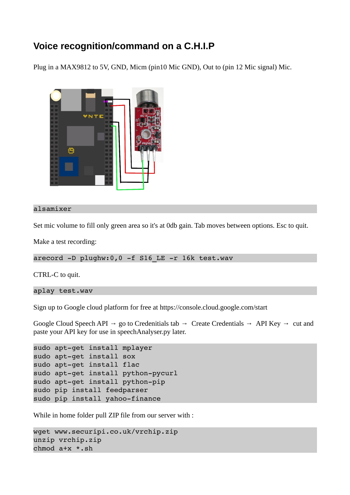## **Voice recognition/command on a C.H.I.P**

Plug in a MAX9812 to 5V, GND, Micm (pin10 Mic GND), Out to (pin 12 Mic signal) Mic.



## alsamixer

Set mic volume to fill only green area so it's at 0db gain. Tab moves between options. Esc to quit.

Make a test recording:

arecord -D plughw:0,0 -f S16 LE -r 16k test.wav

CTRL-C to quit.

aplay test.wav

Sign up to Google cloud platform for free at https://console.cloud.google.com/start

Google Cloud Speech API → go to Credenitials tab → Create Credentials → API Key → cut and paste your API key for use in speechAnalyser.py later.

```
sudo apt-get install mplayer
sudo apt-get install sox
sudo apt-get install flac
sudo apt-get install python-pycurl
sudo apt-get install python-pip
sudo pip install feedparser 
sudo pip install yahoo-finance
```
While in home folder pull ZIP file from our server with :

```
wget www.securipi.co.uk/vrchip.zip 
unzip vrchip.zip 
chmod a+x *.sh
```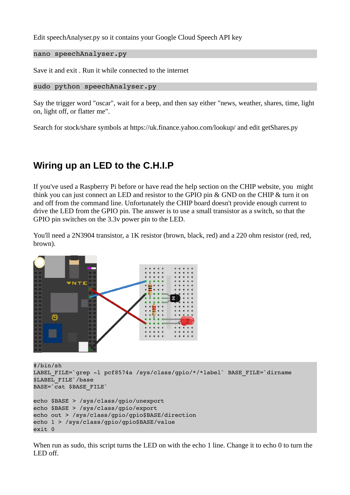Edit speechAnalyser.py so it contains your Google Cloud Speech API key

```
nano speechAnalyser.py
```
Save it and exit . Run it while connected to the internet

```
sudo python speechAnalyser.py
```
Say the trigger word "oscar", wait for a beep, and then say either "news, weather, shares, time, light on, light off, or flatter me".

Search for stock/share symbols at https://uk.finance.yahoo.com/lookup/ and edit getShares.py

## **Wiring up an LED to the C.H.I.P**

If you've used a Raspberry Pi before or have read the help section on the CHIP website, you might think you can just connect an LED and resistor to the GPIO pin & GND on the CHIP & turn it on and off from the command line. Unfortunately the CHIP board doesn't provide enough current to drive the LED from the GPIO pin. The answer is to use a small transistor as a switch, so that the GPIO pin switches on the 3.3v power pin to the LED.

You'll need a 2N3904 transistor, a 1K resistor (brown, black, red) and a 220 ohm resistor (red, red, brown).



#/bin/sh LABEL FILE=`grep -1 pcf8574a /sys/class/gpio/\*/\*label` BASE FILE=`dirname \$LABEL\_FILE`/base BASE=`cat \$BASE\_FILE` echo \$BASE > /sys/class/gpio/unexport echo \$BASE > /sys/class/gpio/export echo out > /sys/class/gpio/gpio\$BASE/direction echo 1 > /sys/class/gpio/gpio\$BASE/value exit 0

When run as sudo, this script turns the LED on with the echo 1 line. Change it to echo 0 to turn the LED off.